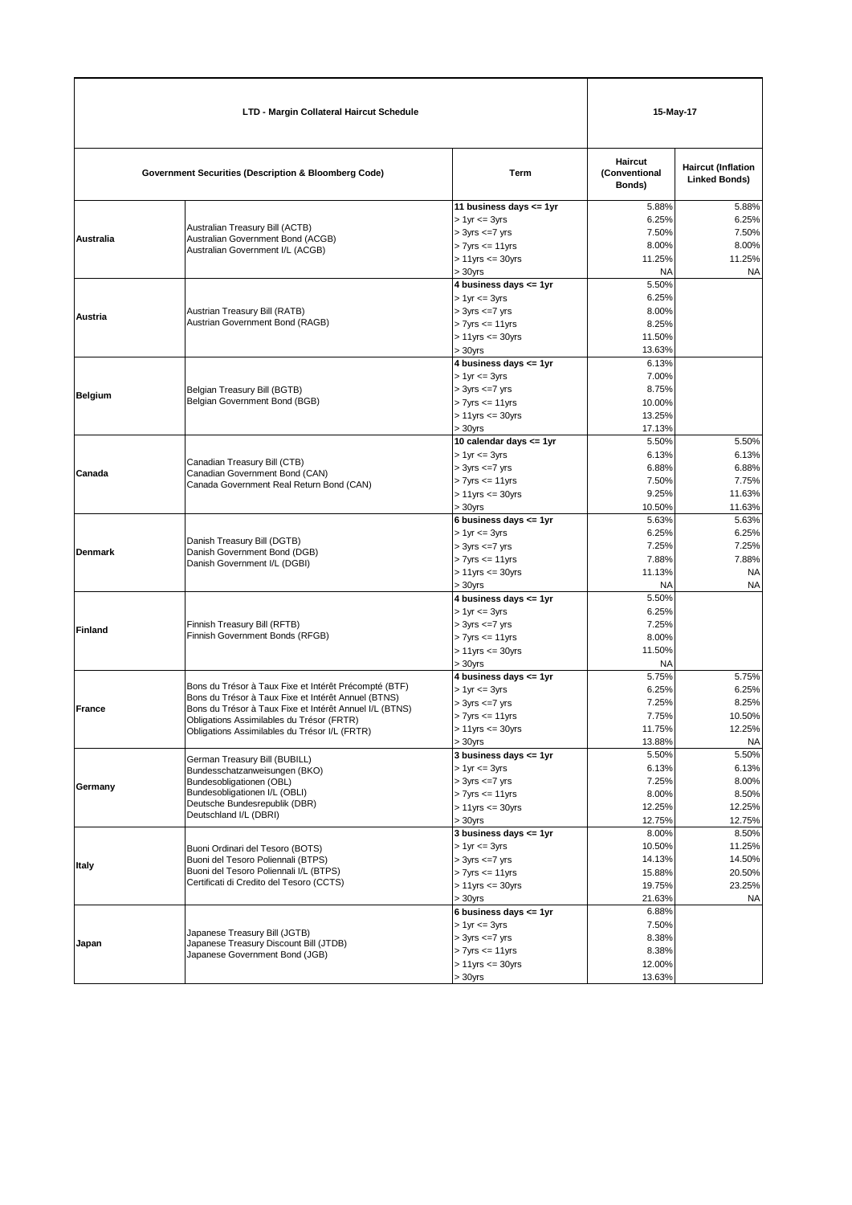| LTD - Margin Collateral Haircut Schedule |                                                                                                                                                                                                                                                                       |                                                                                                                                           |                                                         | 15-May-17                                                  |  |
|------------------------------------------|-----------------------------------------------------------------------------------------------------------------------------------------------------------------------------------------------------------------------------------------------------------------------|-------------------------------------------------------------------------------------------------------------------------------------------|---------------------------------------------------------|------------------------------------------------------------|--|
|                                          | <b>Government Securities (Description &amp; Bloomberg Code)</b>                                                                                                                                                                                                       | Term                                                                                                                                      | Haircut<br>(Conventional<br>Bonds)                      | <b>Haircut (Inflation</b><br><b>Linked Bonds)</b>          |  |
| <b>Australia</b>                         | Australian Treasury Bill (ACTB)<br>Australian Government Bond (ACGB)<br>Australian Government I/L (ACGB)                                                                                                                                                              | 11 business days <= 1yr<br>$> 1$ yr $= 3$ yrs<br>$> 3yrs \leq -7yrs$<br>$> 7$ yrs $<= 11$ yrs<br>$> 11$ yrs $\leq 30$ yrs<br>$> 30$ yrs   | 5.88%<br>6.25%<br>7.50%<br>8.00%<br>11.25%<br><b>NA</b> | 5.88%<br>6.25%<br>7.50%<br>8.00%<br>11.25%<br><b>NA</b>    |  |
| Austria                                  | Austrian Treasury Bill (RATB)<br>Austrian Government Bond (RAGB)                                                                                                                                                                                                      | 4 business days <= 1yr<br>$> 1$ yr $= 3$ yrs<br>$> 3yrs \leq -7yrs$<br>$> 7yrs \leq 11yrs$<br>$> 11$ yrs $\leq 30$ yrs<br>$> 30$ yrs      | 5.50%<br>6.25%<br>8.00%<br>8.25%<br>11.50%<br>13.63%    |                                                            |  |
| <b>Belgium</b>                           | Belgian Treasury Bill (BGTB)<br>Belgian Government Bond (BGB)                                                                                                                                                                                                         | 4 business days <= 1yr<br>$> 1$ yr $= 3$ yrs<br>$> 3yrs \leq -7yrs$<br>$> 7$ yrs $<= 11$ yrs<br>$> 11$ yrs $\leq 30$ yrs<br>$>30$ vrs     | 6.13%<br>7.00%<br>8.75%<br>10.00%<br>13.25%<br>17.13%   |                                                            |  |
| Canada                                   | Canadian Treasury Bill (CTB)<br>Canadian Government Bond (CAN)<br>Canada Government Real Return Bond (CAN)                                                                                                                                                            | 10 calendar days <= 1yr<br>$> 1$ yr $= 3$ yrs<br>$> 3yrs \leq 7yrs$<br>$> 7$ yrs $\leq 11$ yrs<br>$> 11$ yrs $\leq 30$ yrs<br>$>30$ yrs   | 5.50%<br>6.13%<br>6.88%<br>7.50%<br>9.25%<br>10.50%     | 5.50%<br>6.13%<br>6.88%<br>7.75%<br>11.63%<br>11.63%       |  |
| <b>Denmark</b>                           | Danish Treasury Bill (DGTB)<br>Danish Government Bond (DGB)<br>Danish Government I/L (DGBI)                                                                                                                                                                           | 6 business days $\leq$ 1yr<br>$> 1$ yr $= 3$ yrs<br>$>$ 3yrs $\leq$ 7 yrs<br>$> 7$ yrs $<= 11$ yrs<br>$> 11$ yrs $\leq 30$ yrs<br>> 30yrs | 5.63%<br>6.25%<br>7.25%<br>7.88%<br>11.13%<br>NA        | 5.63%<br>6.25%<br>7.25%<br>7.88%<br><b>NA</b><br><b>NA</b> |  |
| <b>Finland</b>                           | Finnish Treasury Bill (RFTB)<br>Finnish Government Bonds (RFGB)                                                                                                                                                                                                       |                                                                                                                                           | 5.50%<br>6.25%<br>7.25%<br>8.00%<br>11.50%<br><b>NA</b> |                                                            |  |
| <b>France</b>                            | Bons du Trésor à Taux Fixe et Intérêt Précompté (BTF)<br>Bons du Trésor à Taux Fixe et Intérêt Annuel (BTNS)<br>Bons du Trésor à Taux Fixe et Intérêt Annuel I/L (BTNS)<br>Obligations Assimilables du Trésor (FRTR)<br>Obligations Assimilables du Trésor I/L (FRTR) | 4 business days <= 1yr<br>$> 1$ yr $= 3$ yrs<br>$> 3yrs \leq -7yrs$<br>$> 7$ yrs $<= 11$ yrs<br>$> 11$ yrs $<= 30$ yrs<br>$>30$ vrs       | 5.75%<br>6.25%<br>7.25%<br>7.75%<br>11.75%<br>13.88%    | 5.75%<br>6.25%<br>8.25%<br>10.50%<br>12.25%<br><b>NA</b>   |  |
| Germany                                  | German Treasury Bill (BUBILL)<br>Bundesschatzanweisungen (BKO)<br>Bundesobligationen (OBL)<br>Bundesobligationen I/L (OBLI)<br>Deutsche Bundesrepublik (DBR)<br>Deutschland I/L (DBRI)                                                                                | 3 business days $\leq$ 1yr<br>$> 1$ yr $= 3$ yrs<br>$> 3yrs \leq -7yrs$<br>$> 7yrs \leq 11yrs$<br>$> 11$ yrs $\leq 30$ yrs<br>$>30$ yrs   | 5.50%<br>6.13%<br>7.25%<br>8.00%<br>12.25%<br>12.75%    | 5.50%<br>6.13%<br>8.00%<br>8.50%<br>12.25%<br>12.75%       |  |
| Italy                                    | Buoni Ordinari del Tesoro (BOTS)<br>Buoni del Tesoro Poliennali (BTPS)<br>Buoni del Tesoro Poliennali I/L (BTPS)<br>Certificati di Credito del Tesoro (CCTS)                                                                                                          | 3 business days <= 1yr<br>$> 1$ yr $= 3$ yrs<br>$> 3yrs \leq -7yrs$<br>$> 7$ yrs $\leq 11$ yrs<br>$> 11$ yrs $\leq 30$ yrs<br>$>30$ yrs   | 8.00%<br>10.50%<br>14.13%<br>15.88%<br>19.75%<br>21.63% | 8.50%<br>11.25%<br>14.50%<br>20.50%<br>23.25%<br><b>NA</b> |  |
| Japan                                    | Japanese Treasury Bill (JGTB)<br>Japanese Treasury Discount Bill (JTDB)<br>Japanese Government Bond (JGB)                                                                                                                                                             | 6 business days $\leq$ 1yr<br>$> 1$ yr $= 3$ yrs<br>$> 3yrs \leq -7yrs$<br>$> 7yrs \leq 11yrs$<br>$> 11$ yrs $\leq 30$ yrs<br>$>30$ yrs   | 6.88%<br>7.50%<br>8.38%<br>8.38%<br>12.00%<br>13.63%    |                                                            |  |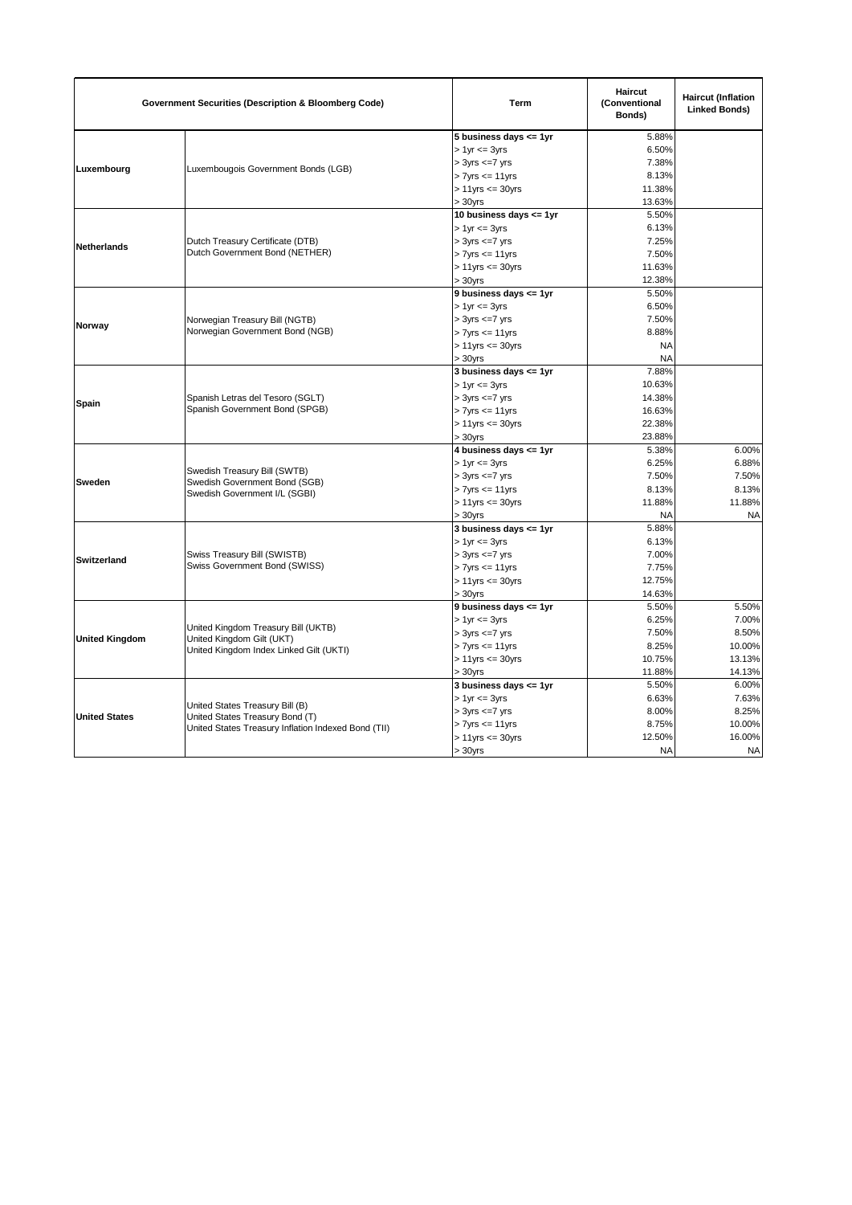|                       | <b>Government Securities (Description &amp; Bloomberg Code)</b>                        | Term                        | <b>Haircut</b><br>(Conventional<br>Bonds) | <b>Haircut (Inflation</b><br><b>Linked Bonds)</b> |
|-----------------------|----------------------------------------------------------------------------------------|-----------------------------|-------------------------------------------|---------------------------------------------------|
|                       |                                                                                        | 5 business days <= 1yr      | 5.88%                                     |                                                   |
|                       |                                                                                        | $> 1$ yr $<= 3$ yrs         | 6.50%                                     |                                                   |
|                       |                                                                                        | $> 3yrs \leq -7yrs$         | 7.38%                                     |                                                   |
| Luxembourg            | Luxembougois Government Bonds (LGB)                                                    | $> 7yrs \leq 11yrs$         | 8.13%                                     |                                                   |
|                       |                                                                                        | $> 11$ yrs $\leq 30$ yrs    | 11.38%                                    |                                                   |
|                       |                                                                                        | $> 30$ yrs                  | 13.63%                                    |                                                   |
|                       |                                                                                        | 10 business days $\leq$ 1yr | 5.50%                                     |                                                   |
|                       |                                                                                        | $> 1$ yr $= 3$ yrs          | 6.13%                                     |                                                   |
| <b>Netherlands</b>    | Dutch Treasury Certificate (DTB)                                                       | $> 3yrs \leq -7yrs$         | 7.25%                                     |                                                   |
|                       | Dutch Government Bond (NETHER)                                                         | $> 7$ yrs $<= 11$ yrs       | 7.50%                                     |                                                   |
|                       |                                                                                        | $> 11$ yrs $\leq 30$ yrs    | 11.63%                                    |                                                   |
|                       |                                                                                        | $> 30$ yrs                  | 12.38%                                    |                                                   |
|                       |                                                                                        | 9 business days <= 1yr      | 5.50%                                     |                                                   |
|                       |                                                                                        | $> 1$ yr $= 3$ yrs          | 6.50%                                     |                                                   |
|                       | Norwegian Treasury Bill (NGTB)                                                         | $> 3yrs \leq 7yrs$          | 7.50%                                     |                                                   |
| Norway                | Norwegian Government Bond (NGB)                                                        | $> 7$ yrs $\leq 11$ yrs     | 8.88%                                     |                                                   |
|                       |                                                                                        | $> 11$ yrs $<= 30$ yrs      | <b>NA</b>                                 |                                                   |
|                       |                                                                                        | $> 30$ yrs                  | <b>NA</b>                                 |                                                   |
|                       |                                                                                        | 3 business days $\leq$ 1yr  | 7.88%                                     |                                                   |
|                       | Spanish Letras del Tesoro (SGLT)<br>Spanish Government Bond (SPGB)                     | $> 1$ yr $<= 3$ yrs         | 10.63%                                    |                                                   |
|                       |                                                                                        | $> 3yrs \leq -7yrs$         | 14.38%                                    |                                                   |
| Spain                 |                                                                                        | $> 7yrs \leq 11yrs$         | 16.63%                                    |                                                   |
|                       |                                                                                        | $> 11$ yrs $\leq 30$ yrs    | 22.38%                                    |                                                   |
|                       |                                                                                        | $> 30$ yrs                  | 23.88%                                    |                                                   |
|                       | Swedish Treasury Bill (SWTB)                                                           | 4 business days <= 1yr      | 5.38%                                     | 6.00%                                             |
|                       |                                                                                        | $> 1$ yr $\leq$ 3 yrs       | 6.25%                                     | 6.88%                                             |
|                       |                                                                                        | $> 3yrs \leq -7yrs$         | 7.50%                                     | 7.50%                                             |
| Sweden                | Swedish Government Bond (SGB)                                                          | $> 7$ yrs $<= 11$ yrs       | 8.13%                                     | 8.13%                                             |
|                       | Swedish Government I/L (SGBI)                                                          | $> 11$ yrs $\leq 30$ yrs    | 11.88%                                    | 11.88%                                            |
|                       |                                                                                        | $> 30$ yrs                  | <b>NA</b>                                 | <b>NA</b>                                         |
|                       |                                                                                        | 3 business days $\leq$ 1yr  | 5.88%                                     |                                                   |
|                       |                                                                                        | $> 1$ yr $<= 3$ yrs         | 6.13%                                     |                                                   |
|                       | Swiss Treasury Bill (SWISTB)                                                           | $>$ 3yrs $\leq$ 7 yrs       | 7.00%                                     |                                                   |
| Switzerland           | Swiss Government Bond (SWISS)                                                          | $> 7$ yrs $\leq 11$ yrs     | 7.75%                                     |                                                   |
|                       |                                                                                        | $> 11$ yrs $\leq 30$ yrs    | 12.75%                                    |                                                   |
|                       |                                                                                        | $> 30$ yrs                  | 14.63%                                    |                                                   |
|                       |                                                                                        | 9 business days $\leq$ 1yr  | 5.50%                                     | 5.50%                                             |
|                       |                                                                                        | $> 1$ yr $<= 3$ yrs         | 6.25%                                     | 7.00%                                             |
|                       | United Kingdom Treasury Bill (UKTB)                                                    | $> 3yrs \leq -7yrs$         | 7.50%                                     | 8.50%                                             |
| <b>United Kingdom</b> | United Kingdom Gilt (UKT)                                                              | $> 7yrs \leq 11yrs$         | 8.25%                                     | 10.00%                                            |
|                       | United Kingdom Index Linked Gilt (UKTI)                                                | $> 11$ yrs $\leq 30$ yrs    | 10.75%                                    | 13.13%                                            |
|                       |                                                                                        | $> 30$ yrs                  | 11.88%                                    | 14.13%                                            |
|                       |                                                                                        | 3 business days $\leq$ 1yr  | 5.50%                                     | 6.00%                                             |
|                       |                                                                                        | $> 1$ yr $<= 3$ yrs         | 6.63%                                     | 7.63%                                             |
|                       | United States Treasury Bill (B)                                                        | $>$ 3yrs $\leq$ 7 yrs       | 8.00%                                     | 8.25%                                             |
| <b>United States</b>  | United States Treasury Bond (T)<br>United States Treasury Inflation Indexed Bond (TII) | $> 7$ yrs $<= 11$ yrs       | 8.75%                                     | 10.00%                                            |
|                       |                                                                                        | $> 11$ yrs $<= 30$ yrs      | 12.50%                                    | 16.00%                                            |
|                       |                                                                                        | $> 30$ yrs                  | <b>NA</b>                                 | <b>NA</b>                                         |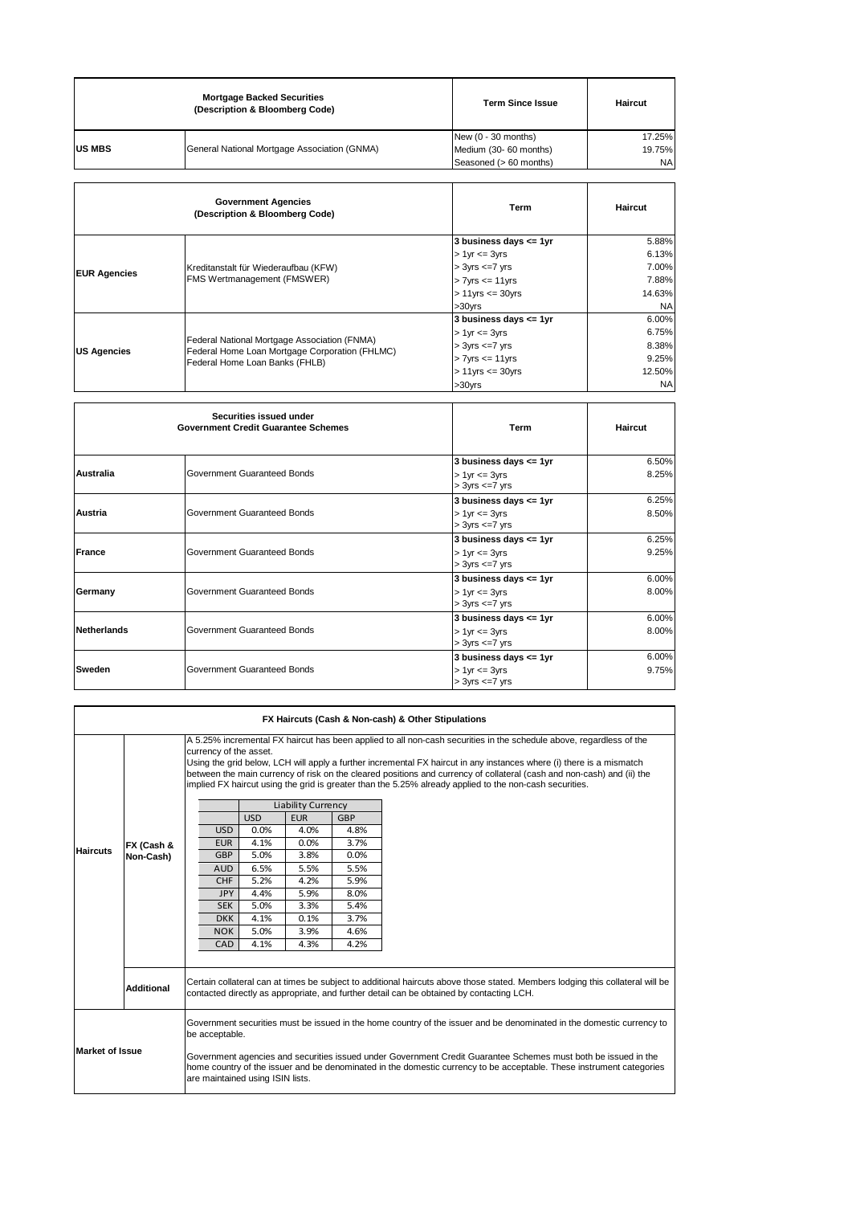| <b>Mortgage Backed Securities</b><br>(Description & Bloomberg Code) |                                              | <b>Term Since Issue</b> | Haircut   |
|---------------------------------------------------------------------|----------------------------------------------|-------------------------|-----------|
|                                                                     |                                              | New $(0 - 30$ months)   | 17.25%    |
| <b>US MBS</b>                                                       | General National Mortgage Association (GNMA) | Medium (30- 60 months)  | 19.75%    |
|                                                                     |                                              | Seasoned (> 60 months)  | <b>NA</b> |
|                                                                     |                                              |                         |           |
|                                                                     |                                              |                         |           |

|                     | <b>Government Agencies</b><br>(Description & Bloomberg Code)                                                                     | <b>Term</b>                | Haircut    |
|---------------------|----------------------------------------------------------------------------------------------------------------------------------|----------------------------|------------|
|                     |                                                                                                                                  | 3 business days $\leq$ 1yr | 5.88%      |
|                     |                                                                                                                                  | $> 1$ yr $= 3$ yrs         | 6.13%      |
| <b>EUR Agencies</b> | Kreditanstalt für Wiederaufbau (KFW)                                                                                             | $> 3yrs \leq -7yrs$        | 7.00%      |
|                     | FMS Wertmanagement (FMSWER)                                                                                                      | $> 7$ yrs $\leq 11$ yrs    | 7.88%      |
|                     |                                                                                                                                  | $> 11$ yrs $\leq$ 30yrs    | 14.63%     |
|                     |                                                                                                                                  | $>30$ vrs                  | <b>NAI</b> |
| <b>US Agencies</b>  |                                                                                                                                  | 3 business days $\leq$ 1yr | 6.00%      |
|                     |                                                                                                                                  | $> 1$ yr $= 3$ yrs         | 6.75%      |
|                     | Federal National Mortgage Association (FNMA)<br>Federal Home Loan Mortgage Corporation (FHLMC)<br>Federal Home Loan Banks (FHLB) | $> 3yrs \leq -7yrs$        | 8.38%      |
|                     |                                                                                                                                  | $> 7$ yrs $\leq 11$ yrs    | 9.25%      |
|                     |                                                                                                                                  | $> 11$ yrs $\leq 30$ yrs   | 12.50%     |
|                     |                                                                                                                                  | $>30$ vrs                  | <b>NA</b>  |

|             | Securities issued under<br><b>Government Credit Guarantee Schemes</b> | <b>Term</b>                                                               | Haircut        |
|-------------|-----------------------------------------------------------------------|---------------------------------------------------------------------------|----------------|
| Australia   | Government Guaranteed Bonds                                           | 3 business days <= 1yr<br>$> 1$ yr $= 3$ yrs<br>$>$ 3yrs $\leq$ 7 yrs     | 6.50%<br>8.25% |
| Austria     | Government Guaranteed Bonds                                           | 3 business days <= 1yr<br>$> 1$ yr $= 3$ yrs<br>$>$ 3yrs $\leq$ 7 yrs     | 6.25%<br>8.50% |
| France      | Government Guaranteed Bonds                                           | 3 business days <= 1yr<br>$> 1$ yr $= 3$ yrs<br>$>$ 3yrs $\leq$ 7 yrs     | 6.25%<br>9.25% |
| Germany     | Government Guaranteed Bonds                                           | 3 business days <= 1yr<br>$> 1$ yr $= 3$ yrs<br>$>$ 3yrs $\leq$ 7 yrs     | 6.00%<br>8.00% |
| Netherlands | Government Guaranteed Bonds                                           | 3 business days $\leq$ 1yr<br>$> 1$ yr $= 3$ yrs<br>$>$ 3yrs $\leq$ 7 yrs | 6.00%<br>8.00% |
| Sweden      | Government Guaranteed Bonds                                           | 3 business days $\leq$ 1yr<br>$> 1$ yr $= 3$ yrs<br>$> 3yrs \leq -7yrs$   | 6.00%<br>9.75% |

| FX Haircuts (Cash & Non-cash) & Other Stipulations                                                                                                                                                                                             |            |                                                                                                                                                                                                                                                                            |            |            |            |                                                                                                                                                                                                                                                                                                                                                                                                                                                                                  |
|------------------------------------------------------------------------------------------------------------------------------------------------------------------------------------------------------------------------------------------------|------------|----------------------------------------------------------------------------------------------------------------------------------------------------------------------------------------------------------------------------------------------------------------------------|------------|------------|------------|----------------------------------------------------------------------------------------------------------------------------------------------------------------------------------------------------------------------------------------------------------------------------------------------------------------------------------------------------------------------------------------------------------------------------------------------------------------------------------|
|                                                                                                                                                                                                                                                |            | currency of the asset.                                                                                                                                                                                                                                                     |            |            |            | A 5.25% incremental FX haircut has been applied to all non-cash securities in the schedule above, regardless of the<br>Using the grid below, LCH will apply a further incremental FX haircut in any instances where (i) there is a mismatch<br>between the main currency of risk on the cleared positions and currency of collateral (cash and non-cash) and (ii) the<br>implied FX haircut using the grid is greater than the 5.25% already applied to the non-cash securities. |
|                                                                                                                                                                                                                                                |            | Liability Currency                                                                                                                                                                                                                                                         |            |            |            |                                                                                                                                                                                                                                                                                                                                                                                                                                                                                  |
|                                                                                                                                                                                                                                                |            |                                                                                                                                                                                                                                                                            | <b>USD</b> | <b>EUR</b> | <b>GBP</b> |                                                                                                                                                                                                                                                                                                                                                                                                                                                                                  |
|                                                                                                                                                                                                                                                |            | <b>USD</b>                                                                                                                                                                                                                                                                 | 0.0%       | 4.0%       | 4.8%       |                                                                                                                                                                                                                                                                                                                                                                                                                                                                                  |
|                                                                                                                                                                                                                                                | FX (Cash & | <b>EUR</b>                                                                                                                                                                                                                                                                 | 4.1%       | 0.0%       | 3.7%       |                                                                                                                                                                                                                                                                                                                                                                                                                                                                                  |
| <b>Haircuts</b>                                                                                                                                                                                                                                | Non-Cash)  | <b>GBP</b>                                                                                                                                                                                                                                                                 | 5.0%       | 3.8%       | 0.0%       |                                                                                                                                                                                                                                                                                                                                                                                                                                                                                  |
|                                                                                                                                                                                                                                                |            | <b>AUD</b>                                                                                                                                                                                                                                                                 | 6.5%       | 5.5%       | 5.5%       |                                                                                                                                                                                                                                                                                                                                                                                                                                                                                  |
|                                                                                                                                                                                                                                                |            | <b>CHF</b>                                                                                                                                                                                                                                                                 | 5.2%       | 4.2%       | 5.9%       |                                                                                                                                                                                                                                                                                                                                                                                                                                                                                  |
|                                                                                                                                                                                                                                                |            | <b>JPY</b>                                                                                                                                                                                                                                                                 | 4.4%       | 5.9%       | 8.0%       |                                                                                                                                                                                                                                                                                                                                                                                                                                                                                  |
|                                                                                                                                                                                                                                                |            | <b>SEK</b>                                                                                                                                                                                                                                                                 | 5.0%       | 3.3%       | 5.4%       |                                                                                                                                                                                                                                                                                                                                                                                                                                                                                  |
|                                                                                                                                                                                                                                                |            | <b>DKK</b>                                                                                                                                                                                                                                                                 | 4.1%       | 0.1%       | 3.7%       |                                                                                                                                                                                                                                                                                                                                                                                                                                                                                  |
|                                                                                                                                                                                                                                                |            | <b>NOK</b>                                                                                                                                                                                                                                                                 | 5.0%       | 3.9%       | 4.6%       |                                                                                                                                                                                                                                                                                                                                                                                                                                                                                  |
|                                                                                                                                                                                                                                                |            | CAD                                                                                                                                                                                                                                                                        | 4.1%       | 4.3%       | 4.2%       |                                                                                                                                                                                                                                                                                                                                                                                                                                                                                  |
|                                                                                                                                                                                                                                                |            |                                                                                                                                                                                                                                                                            |            |            |            |                                                                                                                                                                                                                                                                                                                                                                                                                                                                                  |
| Certain collateral can at times be subject to additional haircuts above those stated. Members lodging this collateral will be<br><b>Additional</b><br>contacted directly as appropriate, and further detail can be obtained by contacting LCH. |            |                                                                                                                                                                                                                                                                            |            |            |            |                                                                                                                                                                                                                                                                                                                                                                                                                                                                                  |
| <b>Market of Issue</b>                                                                                                                                                                                                                         |            | Government securities must be issued in the home country of the issuer and be denominated in the domestic currency to<br>be acceptable.                                                                                                                                    |            |            |            |                                                                                                                                                                                                                                                                                                                                                                                                                                                                                  |
|                                                                                                                                                                                                                                                |            | Government agencies and securities issued under Government Credit Guarantee Schemes must both be issued in the<br>home country of the issuer and be denominated in the domestic currency to be acceptable. These instrument categories<br>are maintained using ISIN lists. |            |            |            |                                                                                                                                                                                                                                                                                                                                                                                                                                                                                  |